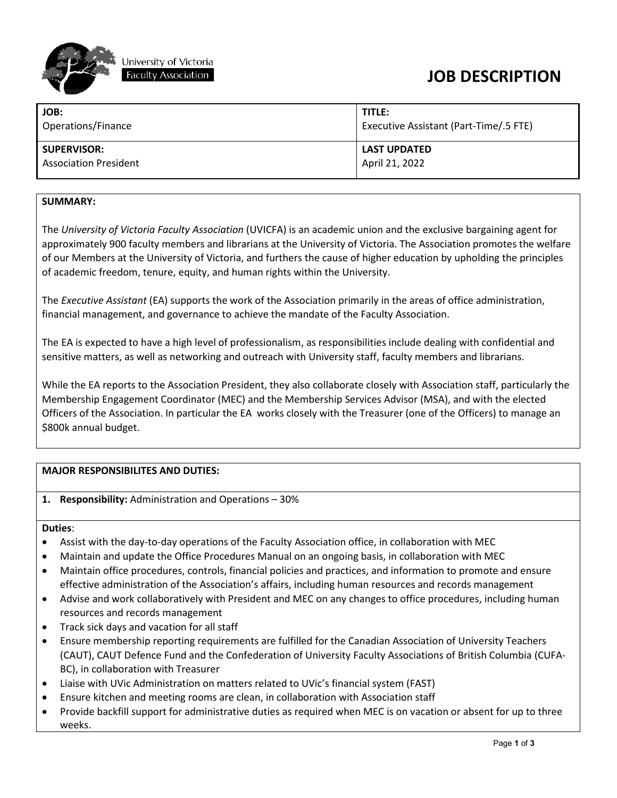

## **JOB DESCRIPTION**

| JOB:                         | TITLE:                                 |
|------------------------------|----------------------------------------|
| Operations/Finance           | Executive Assistant (Part-Time/.5 FTE) |
| <b>SUPERVISOR:</b>           | <b>LAST UPDATED</b>                    |
| <b>Association President</b> | April 21, 2022                         |

## **SUMMARY:**

The *University of Victoria Faculty Association* (UVICFA) is an academic union and the exclusive bargaining agent for approximately 900 faculty members and librarians at the University of Victoria. The Association promotes the welfare of our Members at the University of Victoria, and furthers the cause of higher education by upholding the principles of academic freedom, tenure, equity, and human rights within the University.

The *Executive Assistant* (EA) supports the work of the Association primarily in the areas of office administration, financial management, and governance to achieve the mandate of the Faculty Association.

The EA is expected to have a high level of professionalism, as responsibilities include dealing with confidential and sensitive matters, as well as networking and outreach with University staff, faculty members and librarians.

While the EA reports to the Association President, they also collaborate closely with Association staff, particularly the Membership Engagement Coordinator (MEC) and the Membership Services Advisor (MSA), and with the elected Officers of the Association. In particular the EA works closely with the Treasurer (one of the Officers) to manage an \$800k annual budget.

## **MAJOR RESPONSIBILITES AND DUTIES:**

**1. Responsibility:** Administration and Operations – 30%

#### **Duties**:

- Assist with the day-to-day operations of the Faculty Association office, in collaboration with MEC
- Maintain and update the Office Procedures Manual on an ongoing basis, in collaboration with MEC
- Maintain office procedures, controls, financial policies and practices, and information to promote and ensure effective administration of the Association's affairs, including human resources and records management
- Advise and work collaboratively with President and MEC on any changes to office procedures, including human resources and records management
- Track sick days and vacation for all staff
- Ensure membership reporting requirements are fulfilled for the Canadian Association of University Teachers (CAUT), CAUT Defence Fund and the Confederation of University Faculty Associations of British Columbia (CUFA-BC), in collaboration with Treasurer
- Liaise with UVic Administration on matters related to UVic's financial system (FAST)
- Ensure kitchen and meeting rooms are clean, in collaboration with Association staff
- Provide backfill support for administrative duties as required when MEC is on vacation or absent for up to three weeks.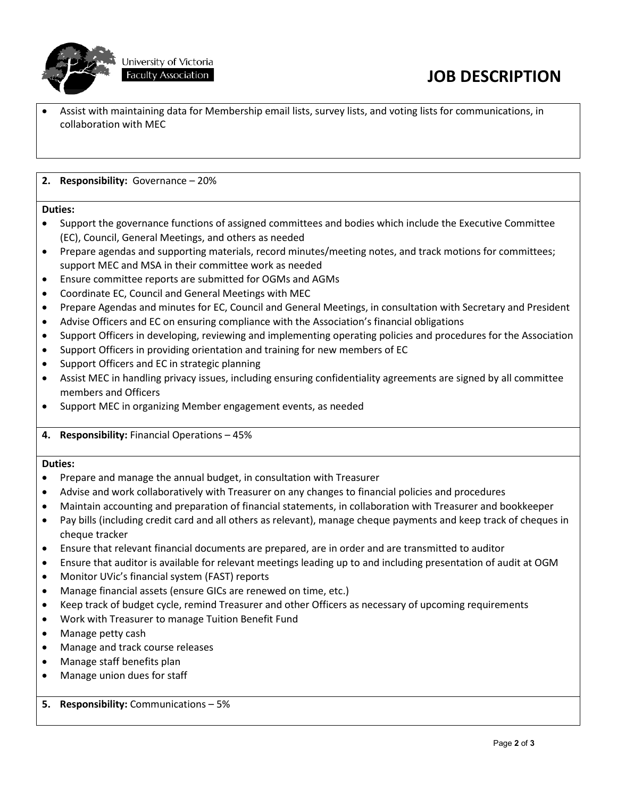

University of Victoria Faculty Association

# **JOB DESCRIPTION**

• Assist with maintaining data for Membership email lists, survey lists, and voting lists for communications, in collaboration with MEC

### **2. Responsibility:** Governance – 20%

#### **Duties:**

- Support the governance functions of assigned committees and bodies which include the Executive Committee (EC), Council, General Meetings, and others as needed
- Prepare agendas and supporting materials, record minutes/meeting notes, and track motions for committees; support MEC and MSA in their committee work as needed
- Ensure committee reports are submitted for OGMs and AGMs
- Coordinate EC, Council and General Meetings with MEC
- Prepare Agendas and minutes for EC, Council and General Meetings, in consultation with Secretary and President
- Advise Officers and EC on ensuring compliance with the Association's financial obligations
- Support Officers in developing, reviewing and implementing operating policies and procedures for the Association
- Support Officers in providing orientation and training for new members of EC
- Support Officers and EC in strategic planning
- Assist MEC in handling privacy issues, including ensuring confidentiality agreements are signed by all committee members and Officers
- Support MEC in organizing Member engagement events, as needed
- **4. Responsibility:** Financial Operations 45%

#### **Duties:**

- Prepare and manage the annual budget, in consultation with Treasurer
- Advise and work collaboratively with Treasurer on any changes to financial policies and procedures
- Maintain accounting and preparation of financial statements, in collaboration with Treasurer and bookkeeper
- Pay bills (including credit card and all others as relevant), manage cheque payments and keep track of cheques in cheque tracker
- Ensure that relevant financial documents are prepared, are in order and are transmitted to auditor
- Ensure that auditor is available for relevant meetings leading up to and including presentation of audit at OGM
- Monitor UVic's financial system (FAST) reports
- Manage financial assets (ensure GICs are renewed on time, etc.)
- Keep track of budget cycle, remind Treasurer and other Officers as necessary of upcoming requirements
- Work with Treasurer to manage Tuition Benefit Fund
- Manage petty cash
- Manage and track course releases
- Manage staff benefits plan
- Manage union dues for staff
- **5. Responsibility:** Communications 5%